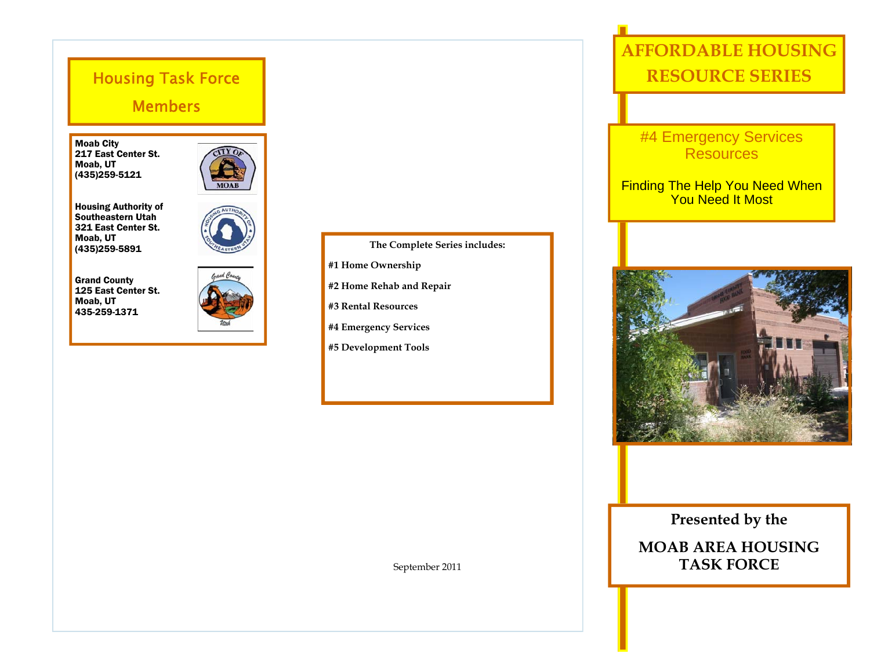## Housing Task Force

## **Members**

Moab City 217 East Center St. Moab, UT (435)259-5121



Housing Authority of Southeastern Utah 321 East Center St. Moab, UT  $(435)259-5891$ 



Grand County 125 East Center St. Moab, UT 435-259-1371



**The Complete Series includes:** 

**#1 Home Ownership** 

**#2 Home Rehab and Repair** 

**#3 Rental Resources** 

**#4 Emergency Services** 

**#5 Development Tools** 

# **AFFORDABLE HOUSING RESOURCE SERIES**

### #4 Emergency Services **Resources**

Finding The Help You Need When You Need It Most



**Presented by the** 

**MOAB AREA HOUSING TASK FORCE** 

September 2011